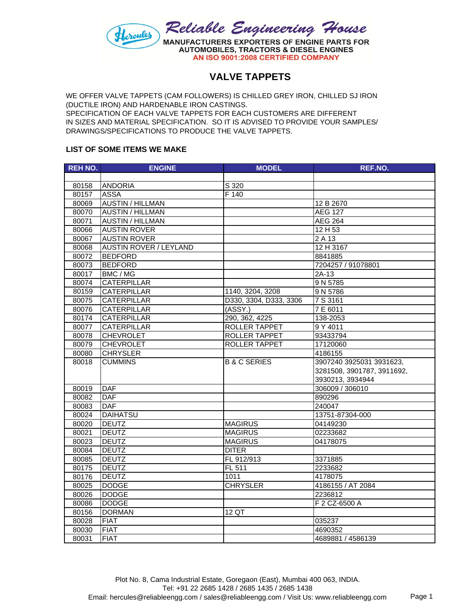

## **VALVE TAPPETS**

WE OFFER VALVE TAPPETS (CAM FOLLOWERS) IS CHILLED GREY IRON, CHILLED SJ IRON (DUCTILE IRON) AND HARDENABLE IRON CASTINGS. SPECIFICATION OF EACH VALVE TAPPETS FOR EACH CUSTOMERS ARE DIFFERENT IN SIZES AND MATERIAL SPECIFICATION. SO IT IS ADVISED TO PROVIDE YOUR SAMPLES/ DRAWINGS/SPECIFICATIONS TO PRODUCE THE VALVE TAPPETS.

## **LIST OF SOME ITEMS WE MAKE**

| <b>REH NO.</b> | <b>ENGINE</b>                 | <b>MODEL</b>            | REF.NO.                    |
|----------------|-------------------------------|-------------------------|----------------------------|
|                |                               |                         |                            |
| 80158          | <b>ANDORIA</b>                | S 320                   |                            |
| 80157          | <b>ASSA</b>                   | F 140                   |                            |
| 80069          | <b>AUSTIN / HILLMAN</b>       |                         | 12 B 2670                  |
| 80070          | <b>AUSTIN / HILLMAN</b>       |                         | <b>AEG 127</b>             |
| 80071          | <b>AUSTIN / HILLMAN</b>       |                         | <b>AEG 264</b>             |
| 80066          | <b>AUSTIN ROVER</b>           |                         | 12 H 53                    |
| 80067          | <b>AUSTIN ROVER</b>           |                         | $\overline{2A}$ 13         |
| 80068          | <b>AUSTIN ROVER / LEYLAND</b> |                         | 12 H 3167                  |
| 80072          | <b>BEDFORD</b>                |                         | 8841885                    |
| 80073          | <b>BEDFORD</b>                |                         | 7204257 / 91078801         |
| 80017          | BMC / MG                      |                         | $\overline{2}$ A-13        |
| 80074          | <b>CATERPILLAR</b>            |                         | 9 N 5785                   |
| 80159          | <b>CATERPILLAR</b>            | 1140, 3204, 3208        | 9 N 5786                   |
| 80075          | CATERPILLAR                   | D330, 3304, D333, 3306  | 7 S 3161                   |
| 80076          | <b>CATERPILLAR</b>            | (XSSY)                  | 7 E 6011                   |
| 80174          | <b>CATERPILLAR</b>            | 290, 362, 4225          | 138-2053                   |
| 80077          | <b>CATERPILLAR</b>            | ROLLER TAPPET           | 9 Y 4011                   |
| 80078          | <b>CHEVROLET</b>              | ROLLER TAPPET           | 93433794                   |
| 80079          | <b>CHEVROLET</b>              | ROLLER TAPPET           | 17120060                   |
| 80080          | <b>CHRYSLER</b>               |                         | 4186155                    |
| 80018          | <b>CUMMINS</b>                | <b>B &amp; C SERIES</b> | 3907240 3925031 3931623,   |
|                |                               |                         | 3281508, 3901787, 3911692, |
|                |                               |                         | 3930213, 3934944           |
| 80019          | <b>DAF</b>                    |                         | 306009 / 306010            |
| 80082          | <b>DAF</b>                    |                         | 890296                     |
| 80083          | <b>DAF</b>                    |                         | 240047                     |
| 80024          | <b>DAIHATSU</b>               |                         | 13751-87304-000            |
| 80020          | <b>DEUTZ</b>                  | <b>MAGIRUS</b>          | 04149230                   |
| 80021          | <b>DEUTZ</b>                  | <b>MAGIRUS</b>          | 02233682                   |
| 80023          | <b>DEUTZ</b>                  | <b>MAGIRUS</b>          | 04178075                   |
| 80084          | <b>DEUTZ</b>                  | <b>DITER</b>            |                            |
| 80085          | <b>DEUTZ</b>                  | FL 912/913              | 3371885                    |
| 80175          | <b>DEUTZ</b>                  | FL 511                  | 2233682                    |
| 80176          | <b>DEUTZ</b>                  | 1011                    | 4178075                    |
| 80025          | <b>DODGE</b>                  | <b>CHRYSLER</b>         | 4186155 / AT 2084          |
| 80026          | <b>DODGE</b>                  |                         | 2236812                    |
| 80086          | <b>DODGE</b>                  |                         | F 2 CZ-6500 A              |
| 80156          | <b>DORMAN</b>                 | $12$ QT                 |                            |
| 80028          | <b>FIAT</b>                   |                         | 035237                     |
| 80030          | <b>FIAT</b>                   |                         | 4690352                    |
| 80031          | <b>FIAT</b>                   |                         | 4689881 / 4586139          |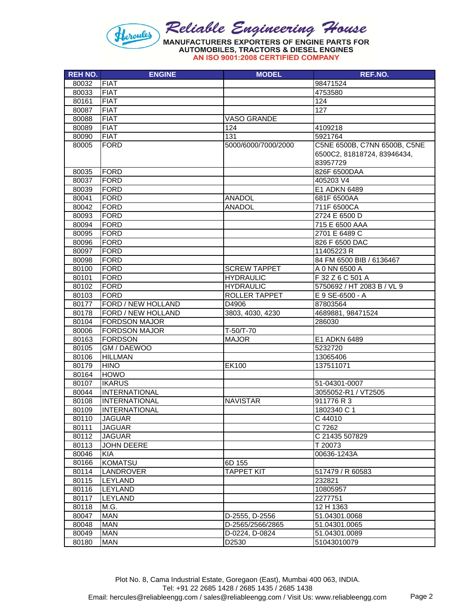

AN ISO 9001:2008 CERTIFIED COMPANY

| <b>REH NO.</b> | <b>ENGINE</b>             | <b>MODEL</b>        | REF.NO.                      |
|----------------|---------------------------|---------------------|------------------------------|
| 80032          | <b>FIAT</b>               |                     | 98471524                     |
| 80033          | <b>FIAT</b>               |                     | 4753580                      |
| 80161          | <b>FIAT</b>               |                     | 124                          |
| 80087          | <b>FIAT</b>               |                     | 127                          |
| 80088          | <b>FIAT</b>               | VASO GRANDE         |                              |
| 80089          | <b>FIAT</b>               | 124                 | 4109218                      |
| 80090          | <b>FIAT</b>               | 131                 | 5921764                      |
| 80005          | <b>FORD</b>               | 5000/6000/7000/2000 | C5NE 6500B, C7NN 6500B, C5NE |
|                |                           |                     | 6500C2, 81818724, 83946434,  |
|                |                           |                     | 83957729                     |
| 80035          | <b>FORD</b>               |                     | 826F 6500DAA                 |
| 80037          | <b>FORD</b>               |                     | 405203 V4                    |
| 80039          | <b>FORD</b>               |                     | E1 ADKN 6489                 |
| 80041          | <b>FORD</b>               | <b>ANADOL</b>       | 681F 6500AA                  |
| 80042          | <b>FORD</b>               | <b>ANADOL</b>       | 711F 6500CA                  |
| 80093          | <b>FORD</b>               |                     | 2724 E 6500 D                |
| 80094          | <b>FORD</b>               |                     | 715 E 6500 AAA               |
| 80095          | <b>FORD</b>               |                     | 2701 E 6489 C                |
| 80096          | <b>FORD</b>               |                     | 826 F 6500 DAC               |
| 80097          | <b>FORD</b>               |                     | 11405223 R                   |
| 80098          | <b>FORD</b>               |                     | 84 FM 6500 BIB / 6136467     |
| 80100          | <b>FORD</b>               | <b>SCREW TAPPET</b> | A 0 NN 6500 A                |
| 80101          | <b>FORD</b>               | <b>HYDRAULIC</b>    | F 32 Z 6 C 501 A             |
| 80102          | <b>FORD</b>               | <b>HYDRAULIC</b>    | 5750692 / HT 2083 B / VL 9   |
| 80103          | <b>FORD</b>               | ROLLER TAPPET       | E 9 SE-6500 - A              |
| 80177          | FORD / NEW HOLLAND        | D4906               | 87803564                     |
| 80178          | FORD / NEW HOLLAND        | 3803, 4030, 4230    | 4689881, 98471524            |
| 80104          | <b>FORDSON MAJOR</b>      |                     | 286030                       |
| 80006          | <b>FORDSON MAJOR</b>      | T-50/T-70           |                              |
| 80163          | <b>FORDSON</b>            | <b>MAJOR</b>        | E1 ADKN 6489                 |
| 80105          | GM / DAEWOO               |                     | 5232720                      |
| 80106          | <b>HILLMAN</b>            |                     | 13065406                     |
| 80179          | <b>HINO</b>               | EK100               | 137511071                    |
| 80164          | <b>HOWO</b>               |                     |                              |
| 80107          | <b>IKARUS</b>             |                     | 51-04301-0007                |
| 80044          | <b>INTERNATIONAL</b>      |                     | 3055052-R1 / VT2505          |
| 80108          | <b>INTERNATIONAL</b>      | <b>NAVISTAR</b>     | 911776 R 3                   |
| 80109          | <b>INTERNATIONAL</b>      |                     | 1802340 C 1                  |
| 80110          | <b>JAGUAR</b>             |                     | C 44010                      |
|                | <b>JAGUAR</b>             |                     | C 7262                       |
| 80111          | <b>JAGUAR</b>             |                     | C 21435 507829               |
| 80112<br>80113 | <b>JOHN DEERE</b>         |                     | T 20073                      |
| 80046          | <b>KIA</b>                |                     | 00636-1243A                  |
| 80166          | <b>KOMATSU</b>            | 6D 155              |                              |
|                |                           |                     |                              |
| 80114          | LANDROVER                 | <b>TAPPET KIT</b>   | 517479 / R 60583             |
| 80115<br>80116 | LEYLAND<br><b>LEYLAND</b> |                     | 232821                       |
|                | <b>LEYLAND</b>            |                     | 10805957                     |
| 80117          |                           |                     | 2277751                      |
| 80118          | M.G.                      |                     | 12 H 1363                    |
| 80047          | <b>MAN</b>                | D-2555, D-2556      | 51.04301.0068                |
| 80048          | <b>MAN</b>                | D-2565/2566/2865    | 51.04301.0065                |
| 80049          | <b>MAN</b>                | D-0224, D-0824      | 51.04301.0089                |
| 80180          | <b>MAN</b>                | D2530               | 51043010079                  |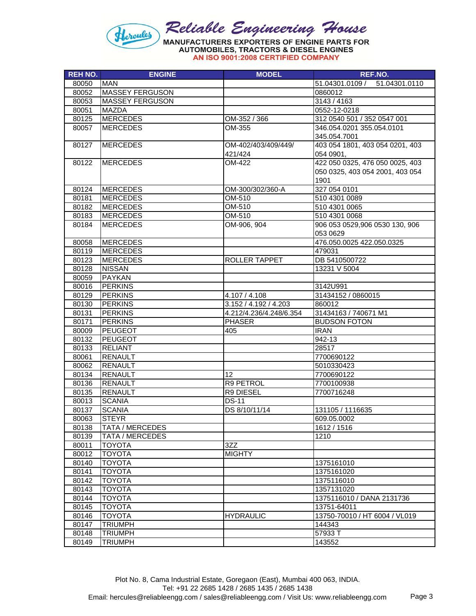

AN ISO 9001:2008 CERTIFIED COMPANY

| <b>REH NO.</b> | <b>ENGINE</b>          | <b>MODEL</b>            | REF.NO.                          |
|----------------|------------------------|-------------------------|----------------------------------|
| 80050          | <b>MAN</b>             |                         | 51.04301.0109 /<br>51.04301.0110 |
| 80052          | <b>MASSEY FERGUSON</b> |                         | 0860012                          |
| 80053          | <b>MASSEY FERGUSON</b> |                         | 3143 / 4163                      |
| 80051          | <b>MAZDA</b>           |                         | 0552-12-0218                     |
| 80125          | <b>MERCEDES</b>        | OM-352 / 366            | 312 0540 501 / 352 0547 001      |
| 80057          | <b>MERCEDES</b>        | OM-355                  | 346.054.0201 355.054.0101        |
|                |                        |                         | 345.054.7001                     |
| 80127          | <b>MERCEDES</b>        | OM-402/403/409/449/     | 403 054 1801, 403 054 0201, 403  |
|                |                        | 421/424                 | 054 0901,                        |
| 80122          | <b>MERCEDES</b>        | OM-422                  | 422 050 0325, 476 050 0025, 403  |
|                |                        |                         | 050 0325, 403 054 2001, 403 054  |
|                |                        |                         | 1901                             |
| 80124          | <b>MERCEDES</b>        | OM-300/302/360-A        | 327 054 0101                     |
| 80181          | <b>MERCEDES</b>        | OM-510                  | 510 4301 0089                    |
| 80182          | <b>MERCEDES</b>        | OM-510                  | 510 4301 0065                    |
| 80183          | <b>MERCEDES</b>        | OM-510                  | 510 4301 0068                    |
| 80184          | <b>MERCEDES</b>        | OM-906, 904             | 906 053 0529,906 0530 130, 906   |
|                |                        |                         | 053 0629                         |
| 80058          | <b>MERCEDES</b>        |                         | 476.050.0025 422.050.0325        |
| 80119          | <b>MERCEDES</b>        |                         | 479031                           |
| 80123          | <b>MERCEDES</b>        | ROLLER TAPPET           | DB 5410500722                    |
| 80128          | <b>NISSAN</b>          |                         | 13231 V 5004                     |
| 80059          | <b>PAYKAN</b>          |                         |                                  |
| 80016          | <b>PERKINS</b>         |                         | 3142U991                         |
| 80129          | <b>PERKINS</b>         | 4.107 / 4.108           | 31434152 / 0860015               |
| 80130          | <b>PERKINS</b>         | 3.152 / 4.192 / 4.203   | 860012                           |
| 80131          | <b>PERKINS</b>         | 4.212/4.236/4.248/6.354 | 31434163 / 740671 M1             |
| 80171          | <b>PERKINS</b>         | <b>PHASER</b>           | <b>BUDSON FOTON</b>              |
| 80009          | PEUGEOT                | 405                     | <b>IRAN</b>                      |
| 80132          | <b>PEUGEOT</b>         |                         | 942-13                           |
| 80133          | <b>RELIANT</b>         |                         | 28517                            |
| 80061          | <b>RENAULT</b>         |                         | 7700690122                       |
| 80062          | <b>RENAULT</b>         |                         | 5010330423                       |
| 80134          | <b>RENAULT</b>         | 12                      | 7700690122                       |
| 80136          | <b>RENAULT</b>         | R9 PETROL               | 7700100938                       |
| 80135          | <b>RENAULT</b>         | R9 DIESEL               | 7700716248                       |
| 80013          | <b>SCANIA</b>          | <b>DS-11</b>            |                                  |
| 80137          | <b>SCANIA</b>          | DS 8/10/11/14           | 131105 / 1116635                 |
| 80063          | <b>STEYR</b>           |                         | 609.05.0002                      |
| 80138          | TATA / MERCEDES        |                         | 1612 / 1516                      |
| 80139          | <b>TATA / MERCEDES</b> |                         | 1210                             |
| 80011          | <b>TOYOTA</b>          | 3ZZ                     |                                  |
| 80012          | <b>TOYOTA</b>          | <b>MIGHTY</b>           |                                  |
| 80140          | <b>TOYOTA</b>          |                         | 1375161010                       |
| 80141          | <b>TOYOTA</b>          |                         | 1375161020                       |
| 80142          | <b>TOYOTA</b>          |                         | 1375116010                       |
| 80143          | <b>TOYOTA</b>          |                         | 1357131020                       |
| 80144          | <b>TOYOTA</b>          |                         | 1375116010 / DANA 2131736        |
| 80145          | <b>TOYOTA</b>          |                         | 13751-64011                      |
| 80146          | <b>TOYOTA</b>          | <b>HYDRAULIC</b>        | 13750-70010 / HT 6004 / VL019    |
| 80147          | <b>TRIUMPH</b>         |                         | 144343                           |
| 80148          | <b>TRIUMPH</b>         |                         | 57933 T                          |
| 80149          | <b>TRIUMPH</b>         |                         | 143552                           |